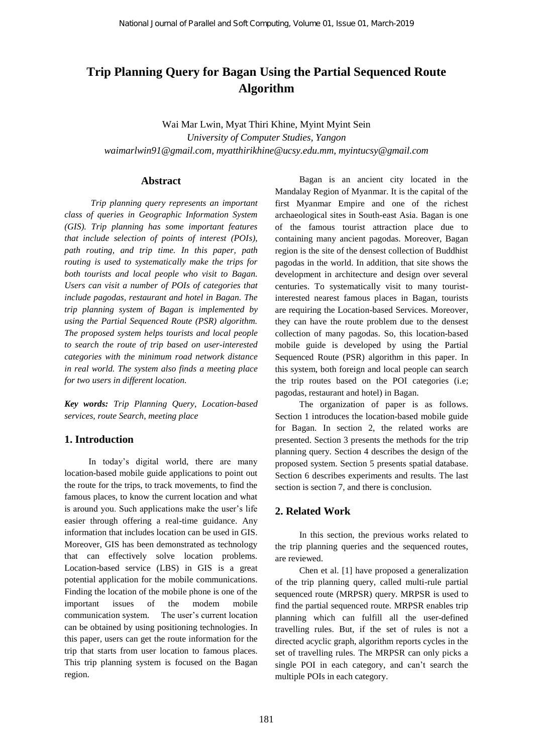# **Trip Planning Query for Bagan Using the Partial Sequenced Route Algorithm**

Wai Mar Lwin, Myat Thiri Khine, Myint Myint Sein *University of Computer Studies, Yangon [waimarlwin91@gmail.com,](mailto:waimarlwin91@gmail.com) myatthirikhine@ucsy.edu.mm, myintucsy@gmail.com*

#### **Abstract**

*Trip planning query represents an important class of queries in Geographic Information System (GIS). Trip planning has some important features that include selection of points of interest (POIs), path routing, and trip time. In this paper, path routing is used to systematically make the trips for both tourists and local people who visit to Bagan. Users can visit a number of POIs of categories that include pagodas, restaurant and hotel in Bagan. The trip planning system of Bagan is implemented by using the Partial Sequenced Route (PSR) algorithm. The proposed system helps tourists and local people to search the route of trip based on user-interested categories with the minimum road network distance in real world. The system also finds a meeting place for two users in different location.*

*Key words: Trip Planning Query, Location-based services, route Search, meeting place*

### **1. Introduction**

In today's digital world, there are many location-based mobile guide applications to point out the route for the trips, to track movements, to find the famous places, to know the current location and what is around you. Such applications make the user's life easier through offering a real-time guidance. Any information that includes location can be used in GIS. Moreover, GIS has been demonstrated as technology that can effectively solve location problems. Location-based service (LBS) in GIS is a great potential application for the mobile communications. Finding the location of the mobile phone is one of the important issues of the modem mobile communication system. The user's current location can be obtained by using positioning technologies. In this paper, users can get the route information for the trip that starts from user location to famous places. This trip planning system is focused on the Bagan region.

Bagan is an ancient city located in the Mandalay Region of Myanmar. It is the capital of the first Myanmar Empire and one of the richest archaeological sites in South-east Asia. Bagan is one of the famous tourist attraction place due to containing many ancient pagodas. Moreover, Bagan region is the site of the densest collection of Buddhist pagodas in the world. In addition, that site shows the development in architecture and design over several centuries. To systematically visit to many touristinterested nearest famous places in Bagan, tourists are requiring the Location-based Services. Moreover, they can have the route problem due to the densest collection of many pagodas. So, this location-based mobile guide is developed by using the Partial Sequenced Route (PSR) algorithm in this paper. In this system, both foreign and local people can search the trip routes based on the POI categories (i.e; pagodas, restaurant and hotel) in Bagan.

The organization of paper is as follows. Section 1 introduces the location-based mobile guide for Bagan. In section 2, the related works are presented. Section 3 presents the methods for the trip planning query. Section 4 describes the design of the proposed system. Section 5 presents spatial database. Section 6 describes experiments and results. The last section is section 7, and there is conclusion.

### **2. Related Work**

In this section, the previous works related to the trip planning queries and the sequenced routes, are reviewed.

Chen et al. [1] have proposed a generalization of the trip planning query, called multi-rule partial sequenced route (MRPSR) query. MRPSR is used to find the partial sequenced route. MRPSR enables trip planning which can fulfill all the user-defined travelling rules. But, if the set of rules is not a directed acyclic graph, algorithm reports cycles in the set of travelling rules. The MRPSR can only picks a single POI in each category, and can't search the multiple POIs in each category.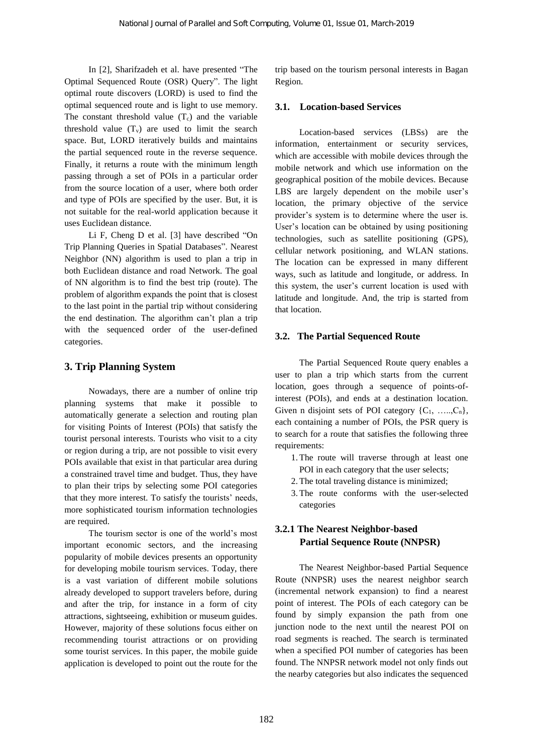In [2], Sharifzadeh et al. have presented "The Optimal Sequenced Route (OSR) Query". The light optimal route discovers (LORD) is used to find the optimal sequenced route and is light to use memory. The constant threshold value  $(T_c)$  and the variable threshold value  $(T_v)$  are used to limit the search space. But, LORD iteratively builds and maintains the partial sequenced route in the reverse sequence. Finally, it returns a route with the minimum length passing through a set of POIs in a particular order from the source location of a user, where both order and type of POIs are specified by the user. But, it is not suitable for the real-world application because it uses Euclidean distance.

Li F, Cheng D et al. [3] have described "On Trip Planning Queries in Spatial Databases". Nearest Neighbor (NN) algorithm is used to plan a trip in both Euclidean distance and road Network. The goal of NN algorithm is to find the best trip (route). The problem of algorithm expands the point that is closest to the last point in the partial trip without considering the end destination. The algorithm can't plan a trip with the sequenced order of the user-defined categories.

## **3. Trip Planning System**

Nowadays, there are a number of online trip planning systems that make it possible to automatically generate a selection and routing plan for visiting Points of Interest (POIs) that satisfy the tourist personal interests. Tourists who visit to a city or region during a trip, are not possible to visit every POIs available that exist in that particular area during a constrained travel time and budget. Thus, they have to plan their trips by selecting some POI categories that they more interest. To satisfy the tourists' needs, more sophisticated tourism information technologies are required.

The tourism sector is one of the world's most important economic sectors, and the increasing popularity of mobile devices presents an opportunity for developing mobile tourism services. Today, there is a vast variation of different mobile solutions already developed to support travelers before, during and after the trip, for instance in a form of city attractions, sightseeing, exhibition or museum guides. However, majority of these solutions focus either on recommending tourist attractions or on providing some tourist services. In this paper, the mobile guide application is developed to point out the route for the

trip based on the tourism personal interests in Bagan Region.

### **3.1. Location-based Services**

Location-based services (LBSs) are the information, entertainment or security services, which are accessible with mobile devices through the mobile network and which use information on the geographical position of the mobile devices. Because LBS are largely dependent on the mobile user's location, the primary objective of the service provider's system is to determine where the user is. User's location can be obtained by using positioning technologies, such as satellite positioning (GPS), cellular network positioning, and WLAN stations. The location can be expressed in many different ways, such as latitude and longitude, or address. In this system, the user's current location is used with latitude and longitude. And, the trip is started from that location.

### **3.2. The Partial Sequenced Route**

The Partial Sequenced Route query enables a user to plan a trip which starts from the current location, goes through a sequence of points-ofinterest (POIs), and ends at a destination location. Given n disjoint sets of POI category  $\{C_1, \ldots, C_n\}$ , each containing a number of POIs, the PSR query is to search for a route that satisfies the following three requirements:

- 1.The route will traverse through at least one POI in each category that the user selects;
- 2.The total traveling distance is minimized;
- 3.The route conforms with the user-selected categories

# **3.2.1 The Nearest Neighbor-based Partial Sequence Route (NNPSR)**

The Nearest Neighbor-based Partial Sequence Route (NNPSR) uses the nearest neighbor search (incremental network expansion) to find a nearest point of interest. The POIs of each category can be found by simply expansion the path from one junction node to the next until the nearest POI on road segments is reached. The search is terminated when a specified POI number of categories has been found. The NNPSR network model not only finds out the nearby categories but also indicates the sequenced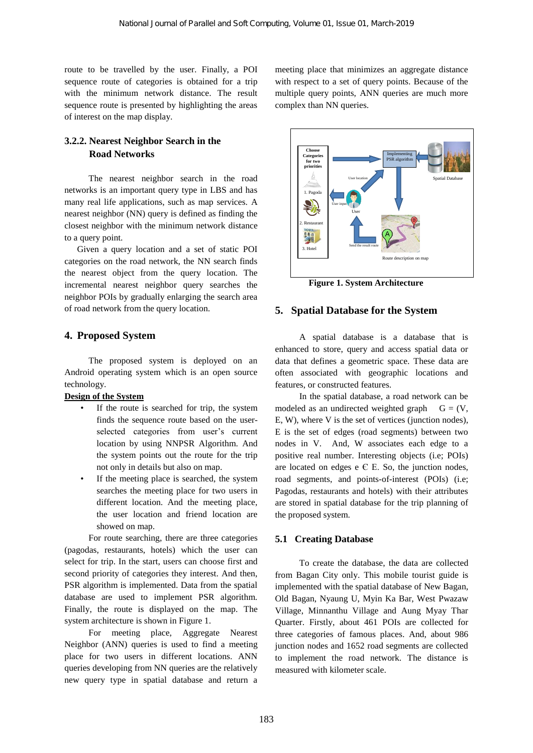route to be travelled by the user. Finally, a POI sequence route of categories is obtained for a trip with the minimum network distance. The result sequence route is presented by highlighting the areas of interest on the map display.

### **3.2.2. Nearest Neighbor Search in the Road Networks**

The nearest neighbor search in the road networks is an important query type in LBS and has many real life applications, such as map services. A nearest neighbor (NN) query is defined as finding the closest neighbor with the minimum network distance to a query point.

Given a query location and a set of static POI categories on the road network, the NN search finds the nearest object from the query location. The incremental nearest neighbor query searches the neighbor POIs by gradually enlarging the search area of road network from the query location.

#### **4. Proposed System**

The proposed system is deployed on an Android operating system which is an open source technology.

### **Design of the System**

- If the route is searched for trip, the system finds the sequence route based on the userselected categories from user's current location by using NNPSR Algorithm. And the system points out the route for the trip not only in details but also on map.
- If the meeting place is searched, the system searches the meeting place for two users in different location. And the meeting place, the user location and friend location are showed on map.

For route searching, there are three categories (pagodas, restaurants, hotels) which the user can select for trip. In the start, users can choose first and second priority of categories they interest. And then, PSR algorithm is implemented. Data from the spatial database are used to implement PSR algorithm. Finally, the route is displayed on the map. The system architecture is shown in Figure 1.

For meeting place, Aggregate Nearest Neighbor (ANN) queries is used to find a meeting place for two users in different locations. ANN queries developing from NN queries are the relatively new query type in spatial database and return a

meeting place that minimizes an aggregate distance with respect to a set of query points. Because of the multiple query points, ANN queries are much more complex than NN queries.



 **Figure 1. System Architecture** 

#### **5. Spatial Database for the System**

A spatial database is a database that is enhanced to store, query and access spatial data or data that defines a geometric space. These data are often associated with geographic locations and features, or constructed features.

In the spatial database, a road network can be modeled as an undirected weighted graph  $G = (V,$ E, W), where V is the set of vertices (junction nodes), E is the set of edges (road segments) between two nodes in V. And, W associates each edge to a positive real number. Interesting objects (i.e; POIs) are located on edges  $e \in E$ . So, the junction nodes, road segments, and points-of-interest (POIs) (i.e; Pagodas, restaurants and hotels) with their attributes are stored in spatial database for the trip planning of the proposed system.

#### **5.1 Creating Database**

To create the database, the data are collected from Bagan City only. This mobile tourist guide is implemented with the spatial database of New Bagan, Old Bagan, Nyaung U, Myin Ka Bar, West Pwazaw Village, Minnanthu Village and Aung Myay Thar Quarter. Firstly, about 461 POIs are collected for three categories of famous places. And, about 986 junction nodes and 1652 road segments are collected to implement the road network. The distance is measured with kilometer scale.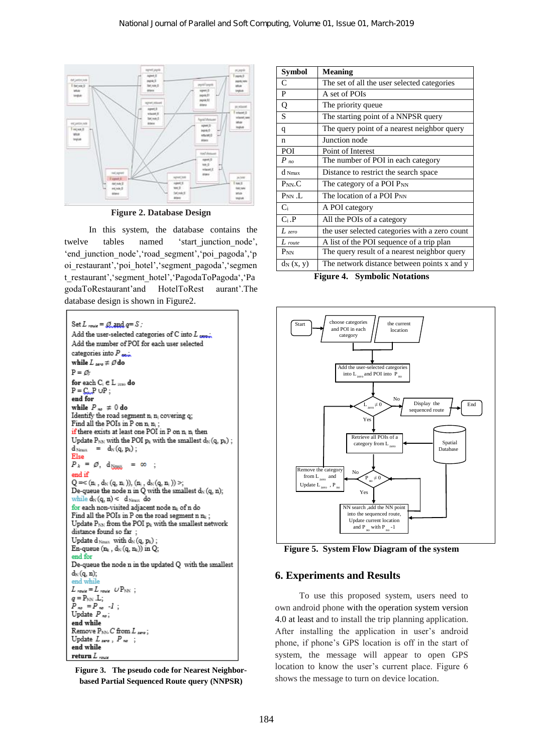

**Figure 2. Database Design**

In this system, the database contains the twelve tables named 'start\_junction\_node', 'end\_junction\_node','road\_segment','poi\_pagoda','p oi restaurant', 'poi hotel', 'segment pagoda', 'segmen t\_restaurant','segment\_hotel','PagodaToPagoda','Pa godaToRestaurant'and HotelToRest aurant'.The database design is shown in Figure2.



**Figure 3. The pseudo code for Nearest Neighborbased Partial Sequenced Route query (NNPSR)**

| Svmbol             | <b>Meaning</b>                                 |
|--------------------|------------------------------------------------|
| C                  | The set of all the user selected categories    |
| P                  | A set of POIs                                  |
| Q                  | The priority queue                             |
| S                  | The starting point of a NNPSR query            |
| q                  | The query point of a nearest neighbor query    |
| n                  | Junction node                                  |
| POI                | Point of Interest                              |
| $P_{no}$           | The number of POI in each category             |
| d Nmax             | Distance to restrict the search space          |
| $P_{NN}$ . $C$     | The category of a POI P <sub>NN</sub>          |
| $P_{NN}$ .L        | The location of a POI P <sub>NN</sub>          |
| $C_i$              | A POI category                                 |
| $C_i.P$            | All the POIs of a category                     |
| $L$ zero           | the user selected categories with a zero count |
| $L_{\text{route}}$ | A list of the POI sequence of a trip plan      |
| $P_{NN}$           | The query result of a nearest neighbor query   |
| $d_N(x, y)$        | The network distance between points x and y    |

**Figure 4. Symbolic Notations**



**Figure 5. System Flow Diagram of the system**

#### **6. Experiments and Results**

To use this proposed system, users need to own android phone with the operation system version 4.0 at least and to install the trip planning application. After installing the application in user's android phone, if phone's GPS location is off in the start of system, the message will appear to open GPS location to know the user's current place. Figure 6 shows the message to turn on device location.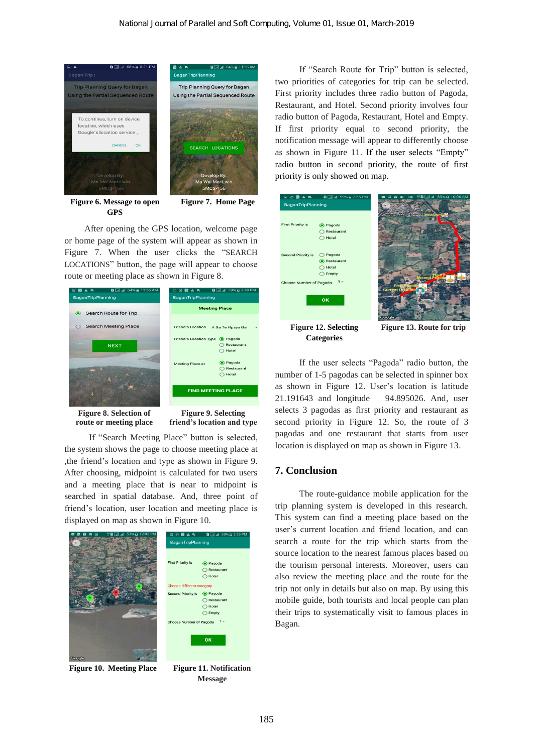

**Figure 6. Message to open GPS**

**Figure 7. Home Page**

After opening the GPS location, welcome page or home page of the system will appear as shown in Figure 7. When the user clicks the "SEARCH LOCATIONS" button, the page will appear to choose route or meeting place as shown in Figure 8.

| $0$ $1$ $d$ 64% $2$ 11:56 AM<br>$\Box$<br>$\bullet$<br>А<br><b>BaganTripPlanning</b> | 41 59% @ 2:49 PM<br>$\mathbf{D}$<br>$\Box$<br>ø<br>$\bullet$<br>m<br>$\blacktriangle$<br>BaganTripPlanning |
|--------------------------------------------------------------------------------------|------------------------------------------------------------------------------------------------------------|
| Search Route for Trip<br>$\bullet$                                                   | <b>Meeting Place</b>                                                                                       |
| <b>Search Meeting Place</b>                                                          | <b>Friend's Location</b><br>A Ga Te Hpaya Gyi                                                              |
| <b>NEXT</b>                                                                          | <b>Friend's Location Type</b><br>C Pagoda<br>Restaurant<br>Hotel                                           |
|                                                                                      | <b>O</b> Pagoda<br>Meeting Place at<br>Restaurant<br>Hotel                                                 |
|                                                                                      | <b>FIND MEETING PLACE</b>                                                                                  |
|                                                                                      |                                                                                                            |

**Figure 8. Selection of route or meeting place**

**Figure 9. Selecting friend's location and type**

If "Search Meeting Place" button is selected, the system shows the page to choose meeting place at ,the friend's location and type as shown in Figure 9. After choosing, midpoint is calculated for two users and a meeting place that is near to midpoint is searched in spatial database. And, three point of friend's location, user location and meeting place is displayed on map as shown in Figure 10.



**Figure 10. Meeting Place Figure 11. Notification** 



If "Search Route for Trip" button is selected, two priorities of categories for trip can be selected. First priority includes three radio button of Pagoda, Restaurant, and Hotel. Second priority involves four radio button of Pagoda, Restaurant, Hotel and Empty. If first priority equal to second priority, the notification message will appear to differently choose as shown in Figure 11. If the user selects "Empty" radio button in second priority, the route of first priority is only showed on map.



**Figure 12. Selecting Categories**

**Figure 13. Route for trip**

If the user selects "Pagoda" radio button, the number of 1-5 pagodas can be selected in spinner box as shown in Figure 12. User's location is latitude 21.191643 and longitude 94.895026. And, user selects 3 pagodas as first priority and restaurant as second priority in Figure 12. So, the route of 3 pagodas and one restaurant that starts from user location is displayed on map as shown in Figure 13.

### **7. Conclusion**

The route-guidance mobile application for the trip planning system is developed in this research. This system can find a meeting place based on the user's current location and friend location, and can search a route for the trip which starts from the source location to the nearest famous places based on the tourism personal interests. Moreover, users can also review the meeting place and the route for the trip not only in details but also on map. By using this mobile guide, both tourists and local people can plan their trips to systematically visit to famous places in Bagan.